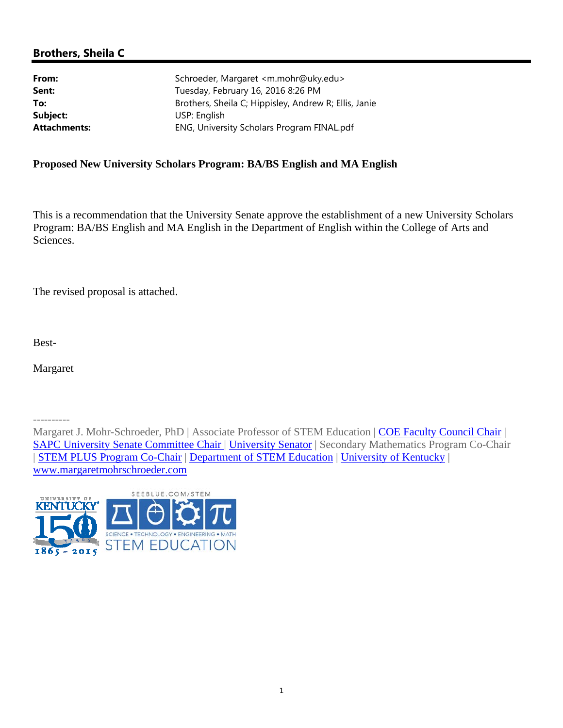# **Brothers, Sheila C**

| Brothers, Sheila C; Hippisley, Andrew R; Ellis, Janie |
|-------------------------------------------------------|
|                                                       |
|                                                       |
|                                                       |

## **Proposed New University Scholars Program: BA/BS English and MA English**

This is a recommendation that the University Senate approve the establishment of a new University Scholars Program: BA/BS English and MA English in the Department of English within the College of Arts and Sciences.

The revised proposal is attached.

Best-

Margaret

----------

Margaret J. Mohr-Schroeder, PhD | Associate Professor of STEM Education | COE Faculty Council Chair | SAPC University Senate Committee Chair | University Senator | Secondary Mathematics Program Co-Chair | STEM PLUS Program Co-Chair | Department of STEM Education | University of Kentucky | www.margaretmohrschroeder.com

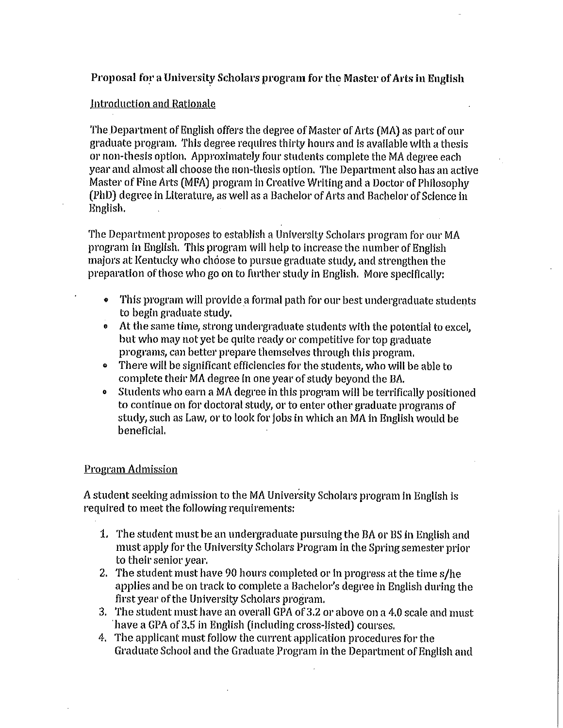## Proposal for a University Scholars program for the Master of Arts in English

### Introduction and Rationale

The Department of English offers the degree of Master of Arts (MA) as part of our graduate program. This degree requires thirty hours and is available with a thesis or non-thesis option. Approximately four students complete the MA degree each year and almost all choose the non-thesis option. The Department also has an active Master of Fine Arts (MFA) program in Creative Writing and a Doctor of Philosophy (PhD) degree in Literature, as well as a Bachelor of Arts and Bachelor of Science in English.

The Department proposes to establish a University Scholars program for our MA program in English. This program will help to increase the number of English majors at Kentucky who choose to pursue graduate study, and strengthen the preparation of those who go on to further study in English. More specifically:

- This program will provide a formal path for our best undergraduate students  $\bullet$ to begin graduate study.
- At the same time, strong undergraduate students with the potential to excel,  $\bullet$ but who may not yet be quite ready or competitive for top graduate programs, can better prepare themselves through this program.
- There will be significant efficiencies for the students, who will be able to  $\bullet$ complete their MA degree in one year of study beyond the BA.
- Students who earn a MA degree in this program will be terrifically positioned  $\bullet$ to continue on for doctoral study, or to enter other graduate programs of study, such as Law, or to look for jobs in which an MA in English would be beneficial.

### **Program Admission**

A student seeking admission to the MA University Scholars program in English is required to meet the following requirements:

- 1. The student must be an undergraduate pursuing the BA or BS in English and must apply for the University Scholars Program in the Spring semester prior to their senior year.
- 2. The student must have 90 hours completed or in progress at the time s/he applies and be on track to complete a Bachelor's degree in English during the first year of the University Scholars program.
- 3. The student must have an overall GPA of 3.2 or above on a 4.0 scale and must have a GPA of 3.5 in English (including cross-listed) courses.
- 4. The applicant must follow the current application procedures for the Graduate School and the Graduate Program in the Department of English and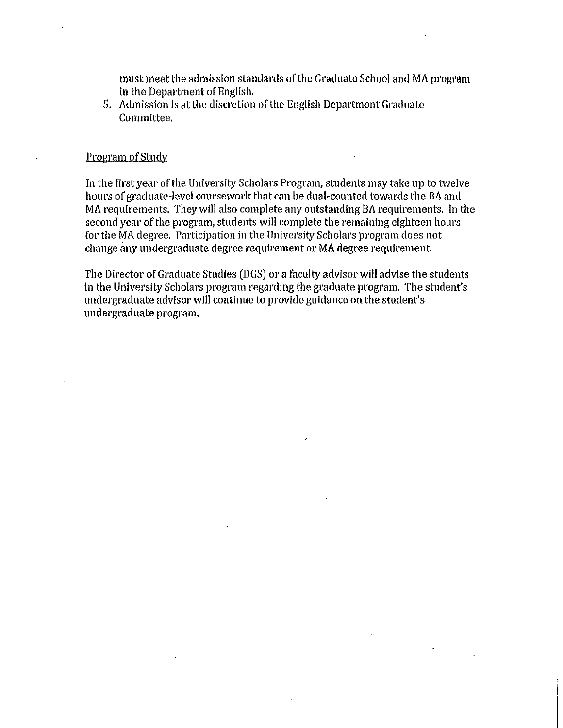must meet the admission standards of the Graduate School and MA program in the Department of English.

5. Admission is at the discretion of the English Department Graduate Committee.

#### **Program of Study**

In the first year of the University Scholars Program, students may take up to twelve hours of graduate-level coursework that can be dual-counted towards the BA and MA requirements. They will also complete any outstanding BA requirements. In the second year of the program, students will complete the remaining eighteen hours for the MA degree. Participation in the University Scholars program does not change any undergraduate degree requirement or MA degree requirement.

The Director of Graduate Studies (DGS) or a faculty advisor will advise the students in the University Scholars program regarding the graduate program. The student's undergraduate advisor will continue to provide guidance on the student's undergraduate program.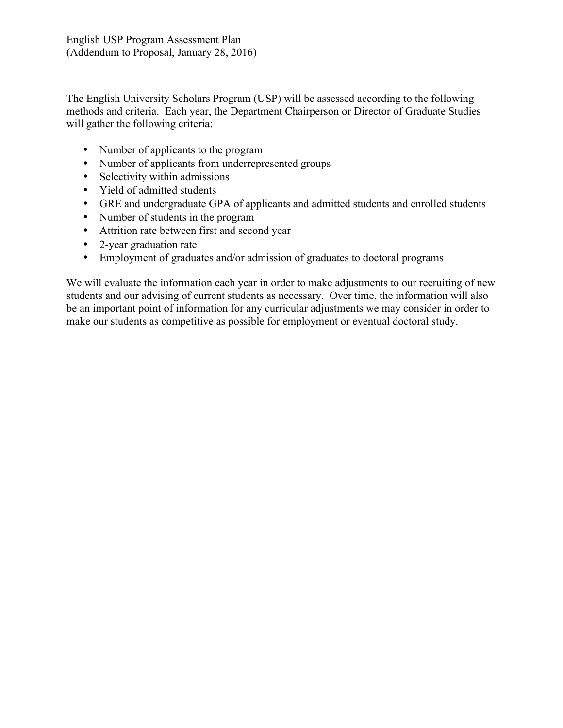The English University Scholars Program (USP) will be assessed according to the following methods and criteria. Each year, the Department Chairperson or Director of Graduate Studies will gather the following criteria:

- Number of applicants to the program
- Number of applicants from underrepresented groups
- Selectivity within admissions
- Yield of admitted students
- GRE and undergraduate GPA of applicants and admitted students and enrolled students
- Number of students in the program
- Attrition rate between first and second year
- 2-year graduation rate
- Employment of graduates and/or admission of graduates to doctoral programs

We will evaluate the information each year in order to make adjustments to our recruiting of new students and our advising of current students as necessary. Over time, the information will also be an important point of information for any curricular adjustments we may consider in order to make our students as competitive as possible for employment or eventual doctoral study.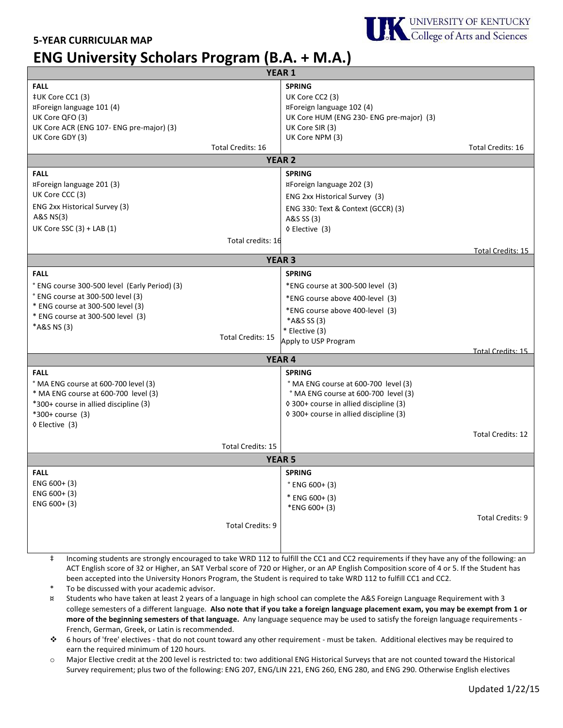### **5-YEAR CURRICULAR MAP**

# **ENG University Scholars Program (B.A. + M.A.)**



 $\ddagger$  Incoming students are strongly encouraged to take WRD 112 to fulfill the CC1 and CC2 requirements if they have any of the following: an ACT English score of 32 or Higher, an SAT Verbal score of 720 or Higher, or an AP English Composition score of 4 or 5. If the Student has been accepted into the University Honors Program, the Student is required to take WRD 112 to fulfill CC1 and CC2.

To be discussed with your academic advisor.

- ¤ Students who have taken at least 2 years of a language in high school can complete the A&S Foreign Language Requirement with 3 college semesters of a different language. Also note that if you take a foreign language placement exam, you may be exempt from 1 or more of the beginning semesters of that language. Any language sequence may be used to satisfy the foreign language requirements -French, German, Greek, or Latin is recommended.
- $\bullet$  6 hours of 'free' electives that do not count toward any other requirement must be taken. Additional electives may be required to earn the required minimum of 120 hours.
- o Major Elective credit at the 200 level is restricted to: two additional ENG Historical Surveys that are not counted toward the Historical Survey requirement; plus two of the following: ENG 207, ENG/LIN 221, ENG 260, ENG 280, and ENG 290. Otherwise English electives

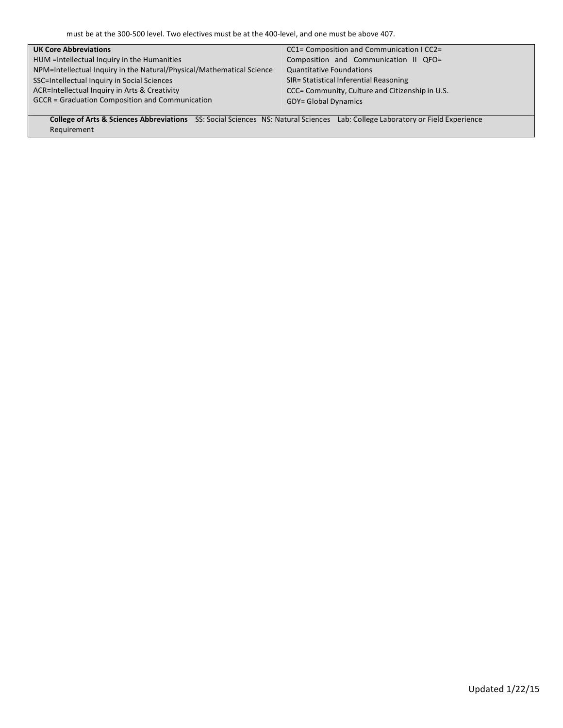must be at the 300-500 level. Two electives must be at the 400-level, and one must be above 407.

| <b>UK Core Abbreviations</b>                                          | CC1= Composition and Communication I CC2=       |
|-----------------------------------------------------------------------|-------------------------------------------------|
| HUM = Intellectual Inquiry in the Humanities                          | Composition and Communication II QFO=           |
| NPM=Intellectual Inquiry in the Natural/Physical/Mathematical Science | <b>Quantitative Foundations</b>                 |
| SSC=Intellectual Inquiry in Social Sciences                           | SIR= Statistical Inferential Reasoning          |
| ACR=Intellectual Inquiry in Arts & Creativity                         | CCC= Community, Culture and Citizenship in U.S. |
| <b>GCCR</b> = Graduation Composition and Communication                | <b>GDY= Global Dynamics</b>                     |
|                                                                       |                                                 |

**College of Arts & Sciences Abbreviations** SS: Social Sciences NS: Natural Sciences Lab: College Laboratory or Field Experience Requirement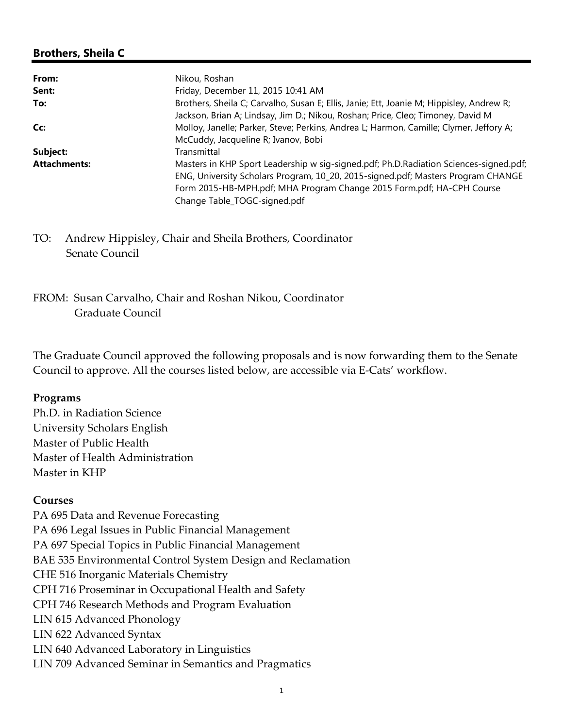# **Brothers, Sheila C**

| From:               | Nikou, Roshan                                                                            |
|---------------------|------------------------------------------------------------------------------------------|
| Sent:               | Friday, December 11, 2015 10:41 AM                                                       |
| To:                 | Brothers, Sheila C; Carvalho, Susan E; Ellis, Janie; Ett, Joanie M; Hippisley, Andrew R; |
|                     | Jackson, Brian A; Lindsay, Jim D.; Nikou, Roshan; Price, Cleo; Timoney, David M          |
| Cc:                 | Molloy, Janelle; Parker, Steve; Perkins, Andrea L; Harmon, Camille; Clymer, Jeffory A;   |
|                     | McCuddy, Jacqueline R; Ivanov, Bobi                                                      |
| Subject:            | Transmittal                                                                              |
| <b>Attachments:</b> | Masters in KHP Sport Leadership w sig-signed.pdf; Ph.D.Radiation Sciences-signed.pdf;    |
|                     | ENG, University Scholars Program, 10_20, 2015-signed.pdf; Masters Program CHANGE         |
|                     | Form 2015-HB-MPH.pdf; MHA Program Change 2015 Form.pdf; HA-CPH Course                    |
|                     | Change Table_TOGC-signed.pdf                                                             |

TO: Andrew Hippisley, Chair and Sheila Brothers, Coordinator Senate Council

# FROM: Susan Carvalho, Chair and Roshan Nikou, Coordinator Graduate Council

The Graduate Council approved the following proposals and is now forwarding them to the Senate Council to approve. All the courses listed below, are accessible via E‐Cats' workflow.

### **Programs**

Ph.D. in Radiation Science University Scholars English Master of Public Health Master of Health Administration Master in KHP

## **Courses**

PA 695 Data and Revenue Forecasting PA 696 Legal Issues in Public Financial Management PA 697 Special Topics in Public Financial Management BAE 535 Environmental Control System Design and Reclamation CHE 516 Inorganic Materials Chemistry CPH 716 Proseminar in Occupational Health and Safety CPH 746 Research Methods and Program Evaluation LIN 615 Advanced Phonology LIN 622 Advanced Syntax LIN 640 Advanced Laboratory in Linguistics LIN 709 Advanced Seminar in Semantics and Pragmatics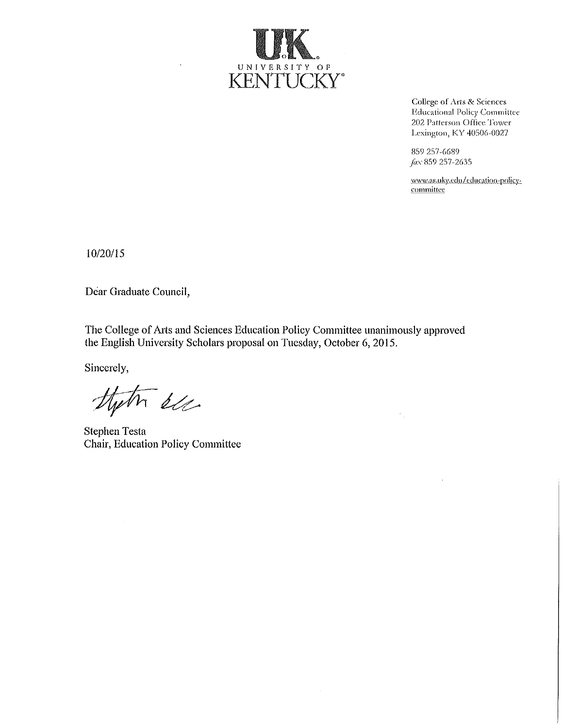

College of Arts & Sciences **Educational Policy Committee** 202 Patterson Office Tower Lexington, KY 40506-0027

859 257-6689 Jax 859 257-2635

www.as.uky.edu/education-policycommittee

10/20/15

Dear Graduate Council,

 $\ddot{\phantom{a}}$ 

The College of Arts and Sciences Education Policy Committee unanimously approved the English University Scholars proposal on Tuesday, October 6, 2015.

Sincerely,

that de

**Stephen Testa** Chair, Education Policy Committee